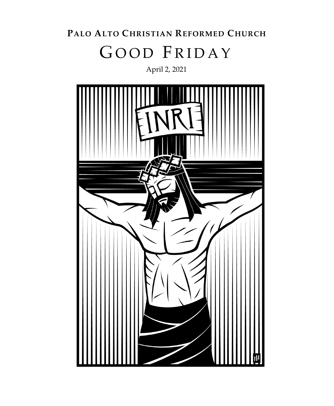# **PALO ALTO CHRISTIAN REFORMED CHURCH**

GOOD FRIDAY

# April 2, 2021

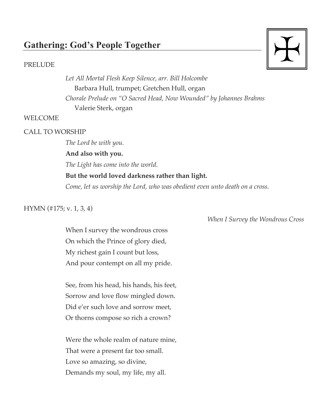# **Gathering: God's People Together**

#### PRELUDE



*Let All Mortal Flesh Keep Silence, arr. Bill Holcombe* Barbara Hull, trumpet; Gretchen Hull, organ *Chorale Prelude on "O Sacred Head, Now Wounded" by Johannes Brahms* Valerie Sterk, organ

### WELCOME

## CALL TO WORSHIP

*The Lord be with you.*

## **And also with you.**

*The Light has come into the world.*

## **But the world loved darkness rather than light.**

*Come, let us worship the Lord, who was obedient even unto death on a cross.*

#### HYMN (#175; v. 1, 3, 4)

*When I Survey the Wondrous Cross*

When I survey the wondrous cross On which the Prince of glory died, My richest gain I count but loss, And pour contempt on all my pride.

See, from his head, his hands, his feet, Sorrow and love flow mingled down. Did e'er such love and sorrow meet, Or thorns compose so rich a crown?

Were the whole realm of nature mine, That were a present far too small. Love so amazing, so divine, Demands my soul, my life, my all.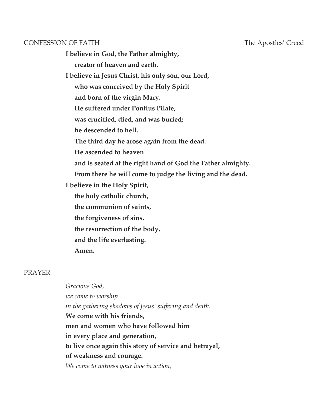## CONFESSION OF FAITH The Apostles' Creed

**I believe in God, the Father almighty, creator of heaven and earth. I believe in Jesus Christ, his only son, our Lord, who was conceived by the Holy Spirit and born of the virgin Mary. He suffered under Pontius Pilate, was crucified, died, and was buried; he descended to hell. The third day he arose again from the dead. He ascended to heaven and is seated at the right hand of God the Father almighty. From there he will come to judge the living and the dead. I believe in the Holy Spirit, the holy catholic church, the communion of saints, the forgiveness of sins, the resurrection of the body, and the life everlasting. Amen.** 

## PRAYER

*Gracious God, we come to worship in the gathering shadows of Jesus' suffering and death.* **We come with his friends, men and women who have followed him in every place and generation, to live once again this story of service and betrayal, of weakness and courage.** *We come to witness your love in action,*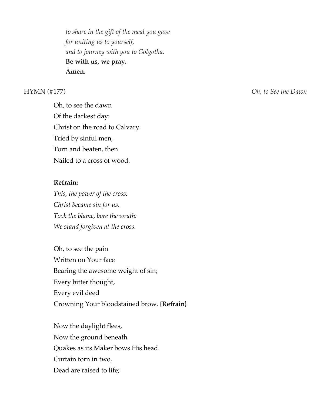*to share in the gift of the meal you gave for uniting us to yourself, and to journey with you to Golgotha.* **Be with us, we pray. Amen.**

Oh, to see the dawn Of the darkest day: Christ on the road to Calvary. Tried by sinful men, Torn and beaten, then Nailed to a cross of wood.

## **Refrain:**

*This, the power of the cross: Christ became sin for us, Took the blame, bore the wrath: We stand forgiven at the cross.*

Oh, to see the pain Written on Your face Bearing the awesome weight of sin; Every bitter thought, Every evil deed Crowning Your bloodstained brow. **{Refrain}**

Now the daylight flees, Now the ground beneath Quakes as its Maker bows His head. Curtain torn in two, Dead are raised to life;

HYMN (#177) *Oh, to See the Dawn*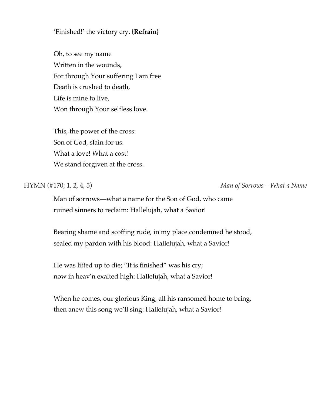'Finished!' the victory cry. **{Refrain}**

Oh, to see my name Written in the wounds, For through Your suffering I am free Death is crushed to death, Life is mine to live, Won through Your selfless love.

This, the power of the cross: Son of God, slain for us. What a love! What a cost! We stand forgiven at the cross.

HYMN (#170; 1, 2, 4, 5) *Man of Sorrows—What a Name*

Man of sorrows—what a name for the Son of God, who came ruined sinners to reclaim: Hallelujah, what a Savior!

Bearing shame and scoffing rude, in my place condemned he stood, sealed my pardon with his blood: Hallelujah, what a Savior!

He was lifted up to die; "It is finished" was his cry; now in heav'n exalted high: Hallelujah, what a Savior!

When he comes, our glorious King, all his ransomed home to bring, then anew this song we'll sing: Hallelujah, what a Savior!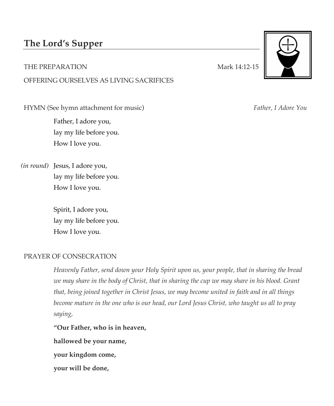# **The Lord's Supper**

THE PREPARATION Mark 14:12-15

OFFERING OURSELVES AS LIVING SACRIFICES

HYMN (See hymn attachment for music) *Father, I Adore You*

Father, I adore you, lay my life before you. How I love you.

*(in round)* Jesus, I adore you, lay my life before you. How I love you.

> Spirit, I adore you, lay my life before you. How I love you.

## PRAYER OF CONSECRATION

*Heavenly Father, send down your Holy Spirit upon us, your people, that in sharing the bread we may share in the body of Christ, that in sharing the cup we may share in his blood. Grant that, being joined together in Christ Jesus, we may become united in faith and in all things become mature in the one who is our head, our Lord Jesus Christ, who taught us all to pray saying,* 

**"Our Father, who is in heaven,** 

**hallowed be your name,** 

**your kingdom come,** 

**your will be done,** 

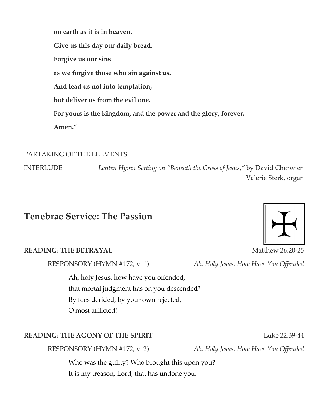**on earth as it is in heaven. Give us this day our daily bread. Forgive us our sins as we forgive those who sin against us. And lead us not into temptation, but deliver us from the evil one. For yours is the kingdom, and the power and the glory, forever. Amen."** 

## PARTAKING OF THE ELEMENTS

INTERLUDE *Lenten Hymn Setting on "Beneath the Cross of Jesus,"* by David Cherwien Valerie Sterk, organ

# **Tenebrae Service: The Passion**

## **READING: THE BETRAYAL Matthew 26:20-25**

RESPONSORY (HYMN #172, v. 1) *Ah, Holy Jesus, How Have You Offended*

Ah, holy Jesus, how have you offended, that mortal judgment has on you descended? By foes derided, by your own rejected, O most afflicted!

# **READING: THE AGONY OF THE SPIRIT Luke 22:39-44**

Who was the guilty? Who brought this upon you? It is my treason, Lord, that has undone you.

RESPONSORY (HYMN #172, v. 2) *Ah, Holy Jesus, How Have You Offended*

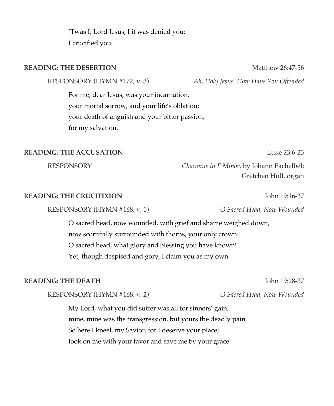'Twas I, Lord Jesus, I it was denied you; I crucified you.

## **READING: THE DESERTION** Matthew 26:47-56

RESPONSORY (HYMN #172, v. 3) *Ah, Holy Jesus, How Have You Offended*

For me, dear Jesus, was your incarnation, your mortal sorrow, and your life's oblation; your death of anguish and your bitter passion, for my salvation.

**READING: THE ACCUSATION** Luke 23:6-23

RESPONSORY *Chaconne in F Minor,* by Johann Pachelbel; Gretchen Hull, organ

RESPONSORY (HYMN #168, v. 1) *O Sacred Head, Now Wounded*

O sacred head, now wounded, with grief and shame weighed down, now scornfully surrounded with thorns, your only crown. O sacred head, what glory and blessing you have known! Yet, though despised and gory, I claim you as my own.

## **READING: THE DEATH** John 19:28-37

RESPONSORY (HYMN #168, v. 2) *O Sacred Head, Now Wounded*

My Lord, what you did suffer was all for sinners' gain; mine, mine was the transgression, but yours the deadly pain. So here I kneel, my Savior, for I deserve your place; look on me with your favor and save me by your grace.

**READING: THE CRUCIFIXION John 19:16-27**